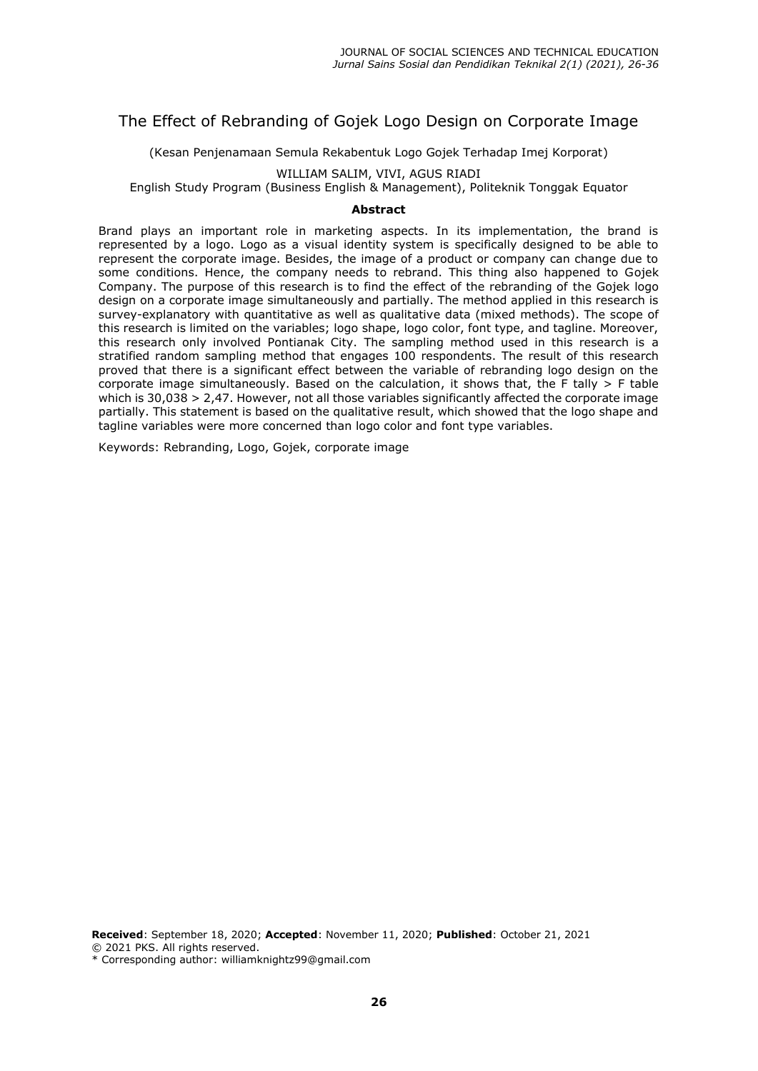# The Effect of Rebranding of Gojek Logo Design on Corporate Image

(Kesan Penjenamaan Semula Rekabentuk Logo Gojek Terhadap Imej Korporat)

### WILLIAM SALIM, VIVI, AGUS RIADI

English Study Program (Business English & Management), Politeknik Tonggak Equator

#### **Abstract**

Brand plays an important role in marketing aspects. In its implementation, the brand is represented by a logo. Logo as a visual identity system is specifically designed to be able to represent the corporate image. Besides, the image of a product or company can change due to some conditions. Hence, the company needs to rebrand. This thing also happened to Gojek Company. The purpose of this research is to find the effect of the rebranding of the Gojek logo design on a corporate image simultaneously and partially. The method applied in this research is survey-explanatory with quantitative as well as qualitative data (mixed methods). The scope of this research is limited on the variables; logo shape, logo color, font type, and tagline. Moreover, this research only involved Pontianak City. The sampling method used in this research is a stratified random sampling method that engages 100 respondents. The result of this research proved that there is a significant effect between the variable of rebranding logo design on the corporate image simultaneously. Based on the calculation, it shows that, the F tally  $>$  F table which is 30,038 > 2,47. However, not all those variables significantly affected the corporate image partially. This statement is based on the qualitative result, which showed that the logo shape and tagline variables were more concerned than logo color and font type variables.

Keywords: Rebranding, Logo, Gojek, corporate image

**Received**: September 18, 2020; **Accepted**: November 11, 2020; **Published**: October 21, 2021 © 2021 PKS. All rights reserved. \* Corresponding author: williamknightz99@gmail.com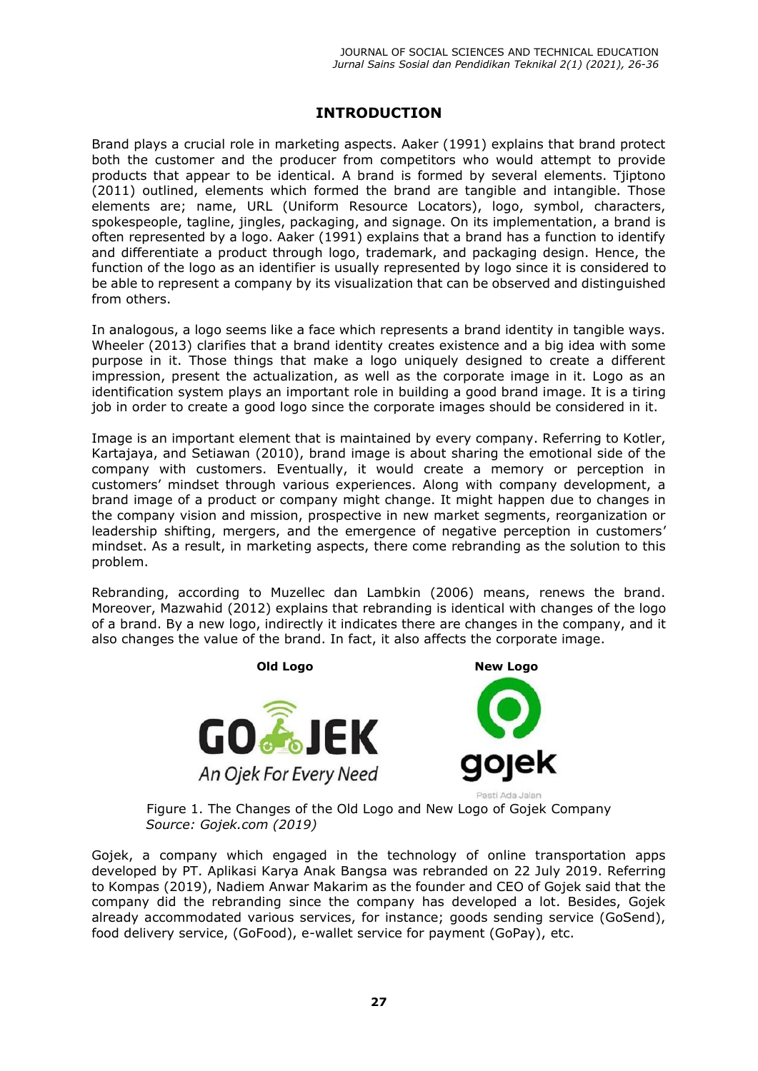# **INTRODUCTION**

Brand plays a crucial role in marketing aspects. Aaker (1991) explains that brand protect both the customer and the producer from competitors who would attempt to provide products that appear to be identical. A brand is formed by several elements. Tjiptono (2011) outlined, elements which formed the brand are tangible and intangible. Those elements are; name, URL (Uniform Resource Locators), logo, symbol, characters, spokespeople, tagline, jingles, packaging, and signage. On its implementation, a brand is often represented by a logo. Aaker (1991) explains that a brand has a function to identify and differentiate a product through logo, trademark, and packaging design. Hence, the function of the logo as an identifier is usually represented by logo since it is considered to be able to represent a company by its visualization that can be observed and distinguished from others.

In analogous, a logo seems like a face which represents a brand identity in tangible ways. Wheeler (2013) clarifies that a brand identity creates existence and a big idea with some purpose in it. Those things that make a logo uniquely designed to create a different impression, present the actualization, as well as the corporate image in it. Logo as an identification system plays an important role in building a good brand image. It is a tiring job in order to create a good logo since the corporate images should be considered in it.

Image is an important element that is maintained by every company. Referring to Kotler, Kartajaya, and Setiawan (2010), brand image is about sharing the emotional side of the company with customers. Eventually, it would create a memory or perception in customers' mindset through various experiences. Along with company development, a brand image of a product or company might change. It might happen due to changes in the company vision and mission, prospective in new market segments, reorganization or leadership shifting, mergers, and the emergence of negative perception in customers' mindset. As a result, in marketing aspects, there come rebranding as the solution to this problem.

Rebranding, according to Muzellec dan Lambkin (2006) means, renews the brand. Moreover, Mazwahid (2012) explains that rebranding is identical with changes of the logo of a brand. By a new logo, indirectly it indicates there are changes in the company, and it also changes the value of the brand. In fact, it also affects the corporate image.





Figure 1. The Changes of the Old Logo and New Logo of Gojek Company *Source: Gojek.com (2019)*

Gojek, a company which engaged in the technology of online transportation apps developed by PT. Aplikasi Karya Anak Bangsa was rebranded on 22 July 2019. Referring to Kompas (2019), Nadiem Anwar Makarim as the founder and CEO of Gojek said that the company did the rebranding since the company has developed a lot. Besides, Gojek already accommodated various services, for instance; goods sending service (GoSend), food delivery service, (GoFood), e-wallet service for payment (GoPay), etc.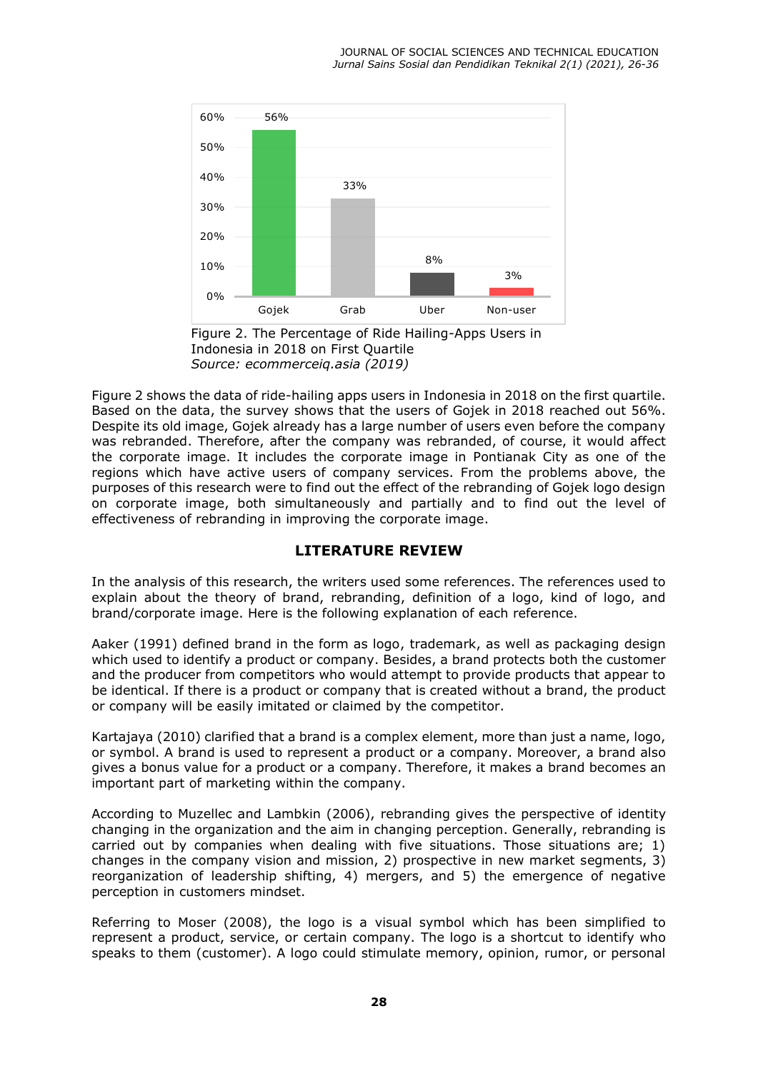

Indonesia in 2018 on First Quartile *Source: ecommerceiq.asia (2019)* 

Figure 2 shows the data of ride-hailing apps users in Indonesia in 2018 on the first quartile. Based on the data, the survey shows that the users of Gojek in 2018 reached out 56%. Despite its old image, Gojek already has a large number of users even before the company was rebranded. Therefore, after the company was rebranded, of course, it would affect the corporate image. It includes the corporate image in Pontianak City as one of the regions which have active users of company services. From the problems above, the purposes of this research were to find out the effect of the rebranding of Gojek logo design on corporate image, both simultaneously and partially and to find out the level of effectiveness of rebranding in improving the corporate image.

## **LITERATURE REVIEW**

In the analysis of this research, the writers used some references. The references used to explain about the theory of brand, rebranding, definition of a logo, kind of logo, and brand/corporate image. Here is the following explanation of each reference.

Aaker (1991) defined brand in the form as logo, trademark, as well as packaging design which used to identify a product or company. Besides, a brand protects both the customer and the producer from competitors who would attempt to provide products that appear to be identical. If there is a product or company that is created without a brand, the product or company will be easily imitated or claimed by the competitor.

Kartajaya (2010) clarified that a brand is a complex element, more than just a name, logo, or symbol. A brand is used to represent a product or a company. Moreover, a brand also gives a bonus value for a product or a company. Therefore, it makes a brand becomes an important part of marketing within the company.

According to Muzellec and Lambkin (2006), rebranding gives the perspective of identity changing in the organization and the aim in changing perception. Generally, rebranding is carried out by companies when dealing with five situations. Those situations are; 1) changes in the company vision and mission, 2) prospective in new market segments, 3) reorganization of leadership shifting, 4) mergers, and 5) the emergence of negative perception in customers mindset.

Referring to Moser (2008), the logo is a visual symbol which has been simplified to represent a product, service, or certain company. The logo is a shortcut to identify who speaks to them (customer). A logo could stimulate memory, opinion, rumor, or personal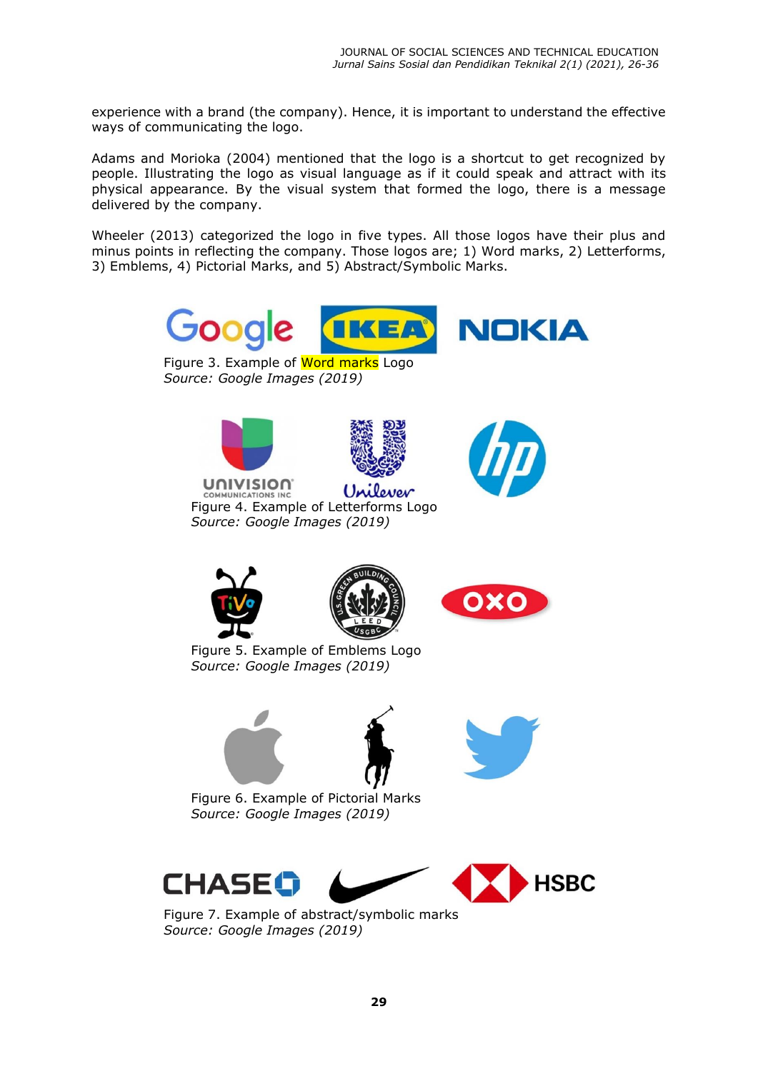experience with a brand (the company). Hence, it is important to understand the effective ways of communicating the logo.

Adams and Morioka (2004) mentioned that the logo is a shortcut to get recognized by people. Illustrating the logo as visual language as if it could speak and attract with its physical appearance. By the visual system that formed the logo, there is a message delivered by the company.

Wheeler (2013) categorized the logo in five types. All those logos have their plus and minus points in reflecting the company. Those logos are; 1) Word marks, 2) Letterforms, 3) Emblems, 4) Pictorial Marks, and 5) Abstract/Symbolic Marks.



Figure 3. Example of Word marks Logo *Source: Google Images (2019)* 







**UNIVISION** Unilever **COMMUNICATIONS INC.** Figure 4. Example of Letterforms Logo *Source: Google Images (2019)*





Figure 5. Example of Emblems Logo *Source: Google Images (2019)*





Figure 6. Example of Pictorial Marks *Source: Google Images (2019)* 



Figure 7. Example of abstract/symbolic marks *Source: Google Images (2019)*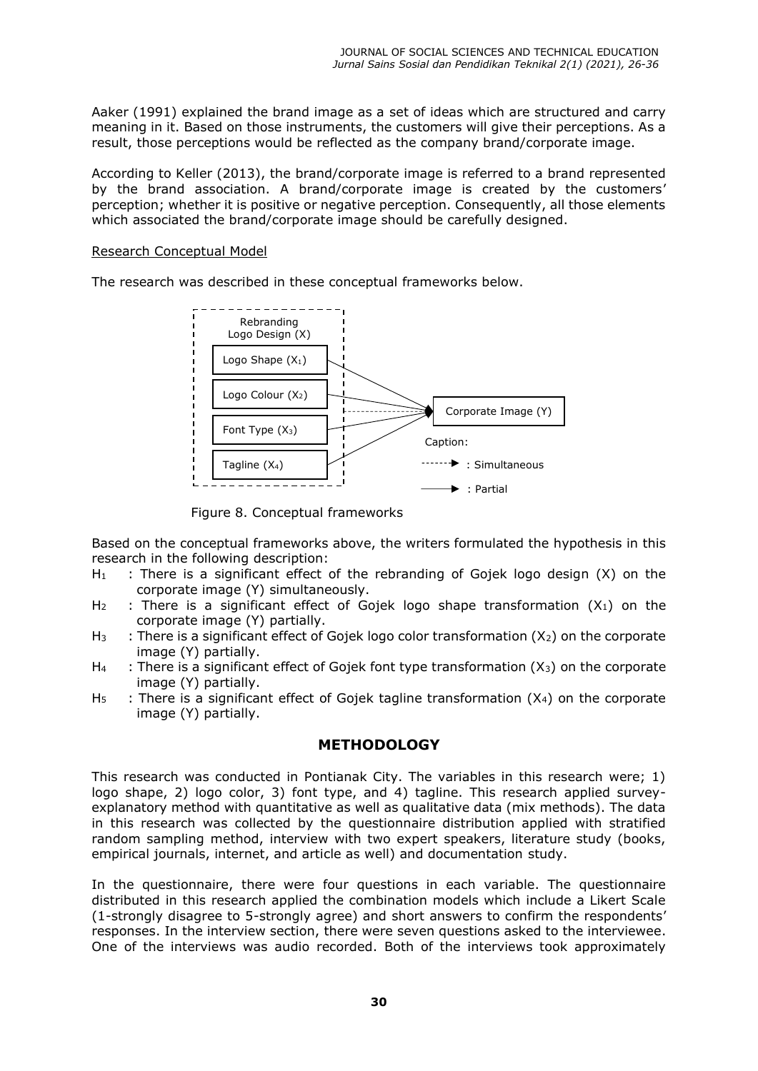Aaker (1991) explained the brand image as a set of ideas which are structured and carry meaning in it. Based on those instruments, the customers will give their perceptions. As a result, those perceptions would be reflected as the company brand/corporate image.

According to Keller (2013), the brand/corporate image is referred to a brand represented by the brand association. A brand/corporate image is created by the customers' perception; whether it is positive or negative perception. Consequently, all those elements which associated the brand/corporate image should be carefully designed.

#### Research Conceptual Model

The research was described in these conceptual frameworks below.



Figure 8. Conceptual frameworks

Based on the conceptual frameworks above, the writers formulated the hypothesis in this research in the following description:

- $H_1$  : There is a significant effect of the rebranding of Gojek logo design  $(X)$  on the corporate image (Y) simultaneously.
- $H_2$  : There is a significant effect of Gojek logo shape transformation  $(X_1)$  on the corporate image (Y) partially.
- $H_3$  : There is a significant effect of Gojek logo color transformation  $(X_2)$  on the corporate image (Y) partially.
- $H_4$  : There is a significant effect of Gojek font type transformation  $(X_3)$  on the corporate image (Y) partially.
- $H_5$  : There is a significant effect of Gojek tagline transformation ( $X_4$ ) on the corporate image (Y) partially.

## **METHODOLOGY**

This research was conducted in Pontianak City. The variables in this research were; 1) logo shape, 2) logo color, 3) font type, and 4) tagline. This research applied surveyexplanatory method with quantitative as well as qualitative data (mix methods). The data in this research was collected by the questionnaire distribution applied with stratified random sampling method, interview with two expert speakers, literature study (books, empirical journals, internet, and article as well) and documentation study.

In the questionnaire, there were four questions in each variable. The questionnaire distributed in this research applied the combination models which include a Likert Scale (1-strongly disagree to 5-strongly agree) and short answers to confirm the respondents' responses. In the interview section, there were seven questions asked to the interviewee. One of the interviews was audio recorded. Both of the interviews took approximately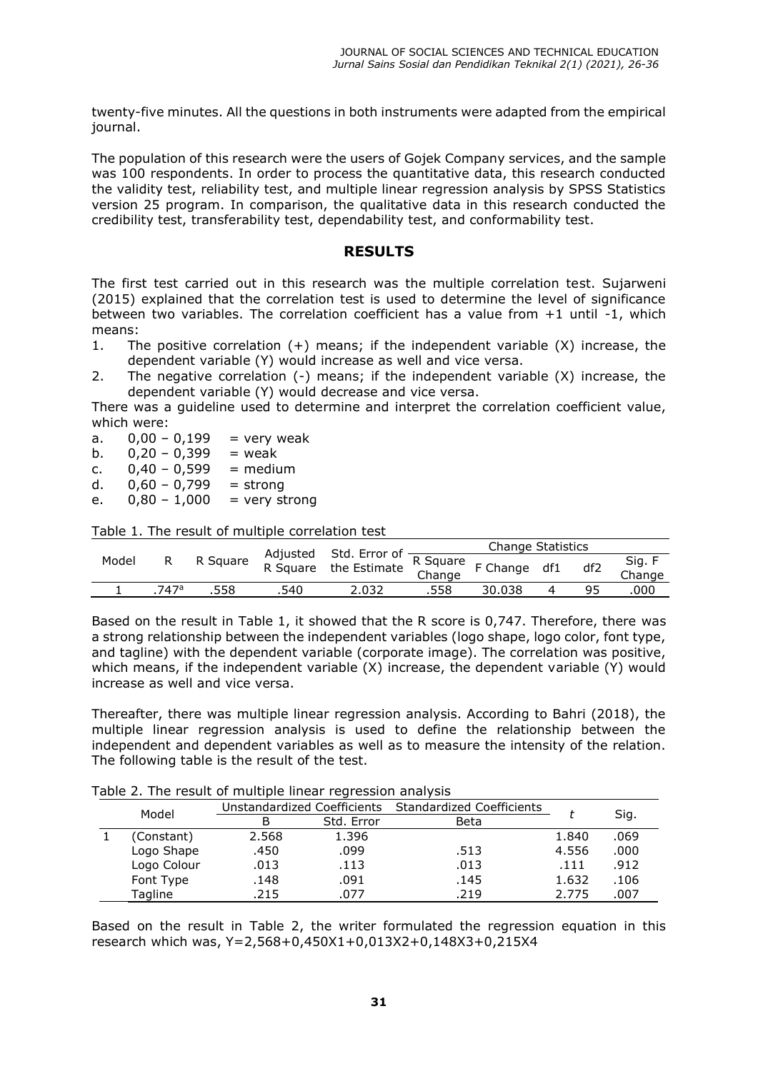twenty-five minutes. All the questions in both instruments were adapted from the empirical journal.

The population of this research were the users of Gojek Company services, and the sample was 100 respondents. In order to process the quantitative data, this research conducted the validity test, reliability test, and multiple linear regression analysis by SPSS Statistics version 25 program. In comparison, the qualitative data in this research conducted the credibility test, transferability test, dependability test, and conformability test.

### **RESULTS**

The first test carried out in this research was the multiple correlation test. Sujarweni (2015) explained that the correlation test is used to determine the level of significance between two variables. The correlation coefficient has a value from +1 until -1, which means:

- 1. The positive correlation (+) means; if the independent variable (X) increase, the dependent variable (Y) would increase as well and vice versa.
- 2. The negative correlation (-) means; if the independent variable (X) increase, the dependent variable (Y) would decrease and vice versa.

There was a guideline used to determine and interpret the correlation coefficient value, which were:

a.  $0,00 - 0,199$  = very weak

b.  $0.20 - 0.399$  = weak

- c.  $0,40 0,599$  = medium
- d.  $0,60 0,799 =$  strong
- e.  $0,80 1,000 =$  very strong

Table 1. The result of multiple correlation test

| Model |                  | R Square |      |                                                                                  |      |        |     |     |                  |
|-------|------------------|----------|------|----------------------------------------------------------------------------------|------|--------|-----|-----|------------------|
|       |                  |          |      | Adjusted Std. Error of <u>R Square<br/>R Square the Estimate Change</u> F Change |      |        | df1 | df2 | Sig. F<br>Change |
|       | 747 <sup>a</sup> | .558     | .540 | 2.032                                                                            | .558 | 30.038 |     |     | 000              |

Based on the result in Table 1, it showed that the R score is 0,747. Therefore, there was a strong relationship between the independent variables (logo shape, logo color, font type, and tagline) with the dependent variable (corporate image). The correlation was positive, which means, if the independent variable (X) increase, the dependent variable (Y) would increase as well and vice versa.

Thereafter, there was multiple linear regression analysis. According to Bahri (2018), the multiple linear regression analysis is used to define the relationship between the independent and dependent variables as well as to measure the intensity of the relation. The following table is the result of the test.

Table 2. The result of multiple linear regression analysis

|       |             |                             | $-$        |                                  |       |      |
|-------|-------------|-----------------------------|------------|----------------------------------|-------|------|
| Model |             | Unstandardized Coefficients |            | <b>Standardized Coefficients</b> |       |      |
|       |             | В                           | Std. Error | Beta                             |       | Sig. |
|       | (Constant)  | 2.568                       | 1.396      |                                  | 1.840 | .069 |
|       | Logo Shape  | .450                        | .099       | .513                             | 4.556 | .000 |
|       | Logo Colour | .013                        | .113       | .013                             | .111  | .912 |
|       | Font Type   | .148                        | .091       | .145                             | 1.632 | .106 |
|       | Tagline     | .215                        | .077       | .219                             | 2.775 | .007 |
|       |             |                             |            |                                  |       |      |

Based on the result in Table 2, the writer formulated the regression equation in this research which was, Y=2,568+0,450X1+0,013X2+0,148X3+0,215X4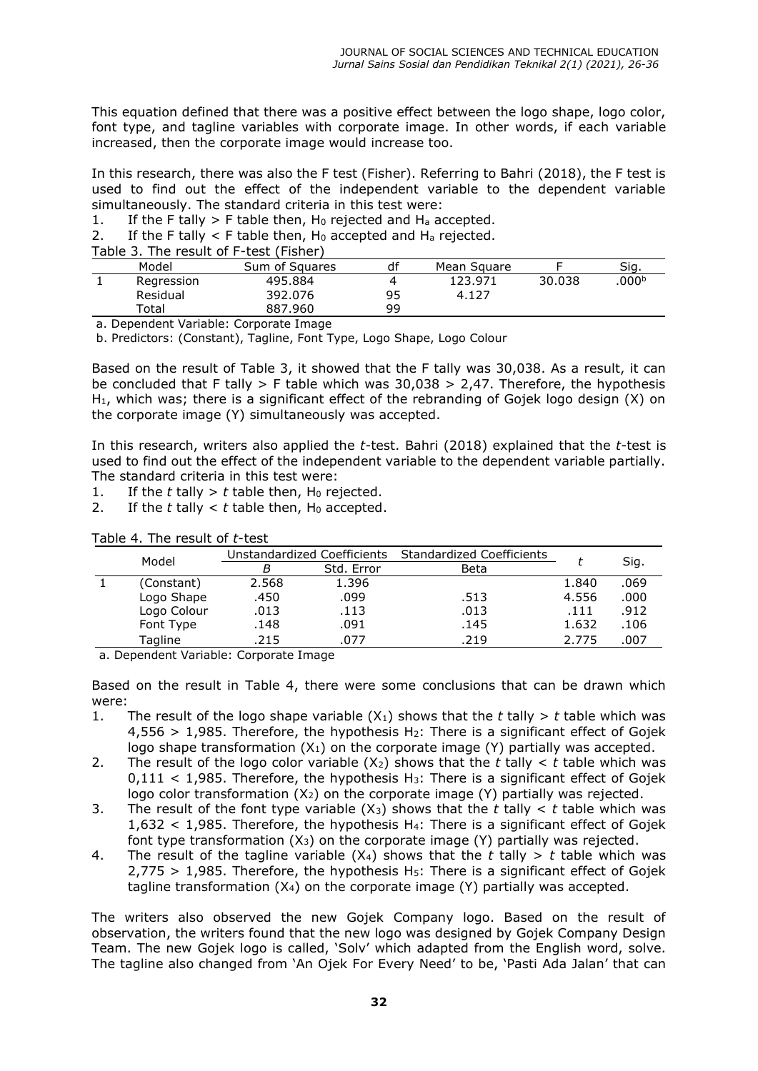This equation defined that there was a positive effect between the logo shape, logo color, font type, and tagline variables with corporate image. In other words, if each variable increased, then the corporate image would increase too.

In this research, there was also the F test (Fisher). Referring to Bahri (2018), the F test is used to find out the effect of the independent variable to the dependent variable simultaneously. The standard criteria in this test were:

1. If the F tally > F table then,  $H_0$  rejected and  $H_a$  accepted.

2. If the F tally  $\lt$  F table then, H<sub>0</sub> accepted and H<sub>a</sub> rejected.

Table 3. The result of F-test (Fisher)

|  | Model      | Sum of Squares | df | Mean Square |        | Sig.             |  |  |
|--|------------|----------------|----|-------------|--------|------------------|--|--|
|  | Regression | 495.884        |    | 123.971     | 30.038 | 000 <sup>b</sup> |  |  |
|  | Residual   | 392.076        | 95 | 4.127       |        |                  |  |  |
|  | Total      | 887.960        | 99 |             |        |                  |  |  |

a. Dependent Variable: Corporate Image

b. Predictors: (Constant), Tagline, Font Type, Logo Shape, Logo Colour

Based on the result of Table 3, it showed that the F tally was 30,038. As a result, it can be concluded that F tally  $>$  F table which was 30,038  $>$  2,47. Therefore, the hypothesis  $H_1$ , which was; there is a significant effect of the rebranding of Gojek logo design  $(X)$  on the corporate image (Y) simultaneously was accepted.

In this research, writers also applied the *t*-test. Bahri (2018) explained that the *t*-test is used to find out the effect of the independent variable to the dependent variable partially. The standard criteria in this test were:

1. If the  $t$  tally  $> t$  table then, H<sub>0</sub> rejected.

2. If the  $t$  tally  $lt$   $t$  table then,  $H_0$  accepted.

|  |             |       | Unstandardized Coefficients<br><b>Standardized Coefficients</b> |      |       | Sig. |
|--|-------------|-------|-----------------------------------------------------------------|------|-------|------|
|  | Model       |       |                                                                 |      |       |      |
|  |             | В     | Std. Error                                                      | Beta |       |      |
|  | (Constant)  | 2.568 | 1.396                                                           |      | 1.840 | .069 |
|  | Logo Shape  | .450  | .099                                                            | .513 | 4.556 | .000 |
|  | Logo Colour | .013  | .113                                                            | .013 | .111  | .912 |
|  | Font Type   | .148  | .091                                                            | .145 | 1.632 | .106 |
|  | Tagline     | .215  | .077                                                            | .219 | 2.775 | .007 |

a. Dependent Variable: Corporate Image

Based on the result in Table 4, there were some conclusions that can be drawn which were:

- 1. The result of the logo shape variable  $(X_1)$  shows that the *t* tally > *t* table which was  $4.556 > 1.985$ . Therefore, the hypothesis H<sub>2</sub>: There is a significant effect of Gojek logo shape transformation  $(X_1)$  on the corporate image  $(Y)$  partially was accepted.
- 2. The result of the logo color variable  $(X_2)$  shows that the *t* tally  $\lt t$  table which was  $0,111 < 1,985$ . Therefore, the hypothesis H<sub>3</sub>: There is a significant effect of Gojek logo color transformation  $(X_2)$  on the corporate image  $(Y)$  partially was rejected.
- 3. The result of the font type variable  $(X_3)$  shows that the *t* tally  $\lt t$  table which was  $1,632 < 1,985$ . Therefore, the hypothesis H<sub>4</sub>: There is a significant effect of Gojek font type transformation  $(X_3)$  on the corporate image  $(Y)$  partially was rejected.
- 4. The result of the tagline variable  $(X_4)$  shows that the *t* tally > *t* table which was  $2.775 > 1.985$ . Therefore, the hypothesis H<sub>5</sub>: There is a significant effect of Gojek tagline transformation (X4) on the corporate image (Y) partially was accepted.

The writers also observed the new Gojek Company logo. Based on the result of observation, the writers found that the new logo was designed by Gojek Company Design Team. The new Gojek logo is called, 'Solv' which adapted from the English word, solve. The tagline also changed from 'An Ojek For Every Need' to be, 'Pasti Ada Jalan' that can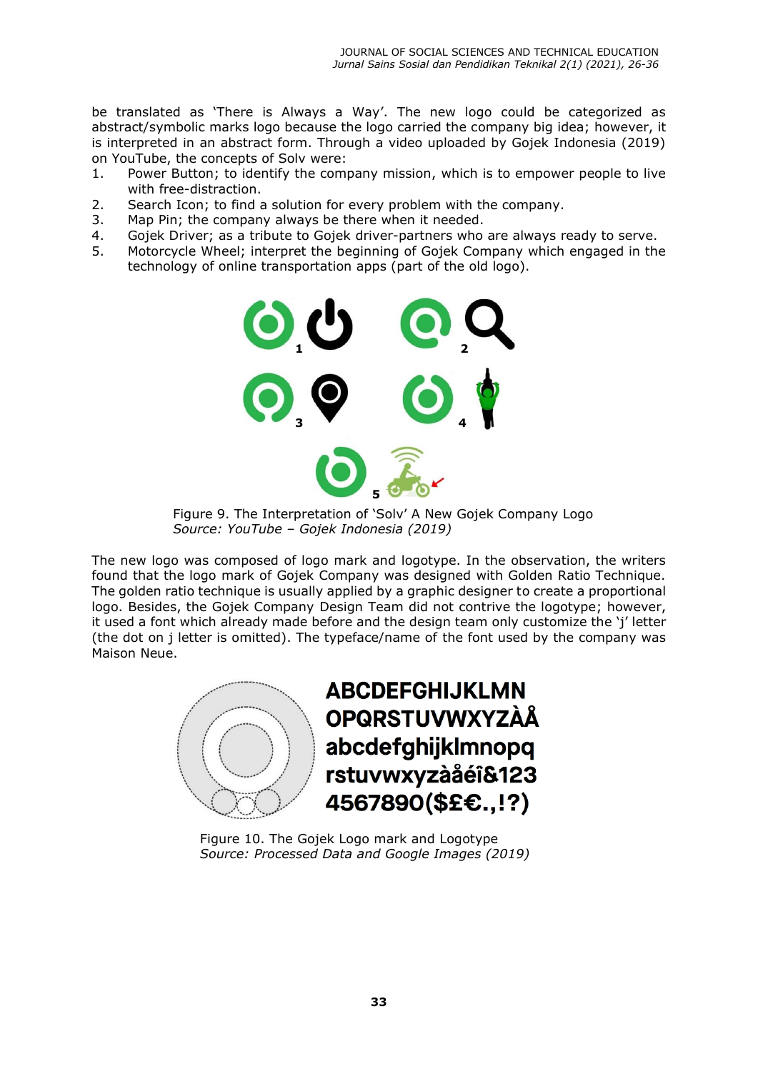be translated as 'There is Always a Way'. The new logo could be categorized as abstract/symbolic marks logo because the logo carried the company big idea; however, it is interpreted in an abstract form. Through a video uploaded by Gojek Indonesia (2019) on YouTube, the concepts of Solv were:

- 1. Power Button; to identify the company mission, which is to empower people to live with free-distraction.
- 2. Search Icon; to find a solution for every problem with the company.
- 3. Map Pin; the company always be there when it needed.
- 4. Gojek Driver; as a tribute to Gojek driver-partners who are always ready to serve.
- 5. Motorcycle Wheel; interpret the beginning of Gojek Company which engaged in the technology of online transportation apps (part of the old logo).



Figure 9. The Interpretation of 'Solv' A New Gojek Company Logo *Source: YouTube – Gojek Indonesia (2019)*

The new logo was composed of logo mark and logotype. In the observation, the writers found that the logo mark of Gojek Company was designed with Golden Ratio Technique. The golden ratio technique is usually applied by a graphic designer to create a proportional logo. Besides, the Gojek Company Design Team did not contrive the logotype; however, it used a font which already made before and the design team only customize the 'j' letter (the dot on j letter is omitted). The typeface/name of the font used by the company was Maison Neue.



**ABCDEFGHIJKLMN OPQRSTUVWXYZÀÅ** abcdefghijklmnopq rstuvwxyzàåéî&123 4567890(\$£€.,!?)

Figure 10. The Gojek Logo mark and Logotype *Source: Processed Data and Google Images (2019)*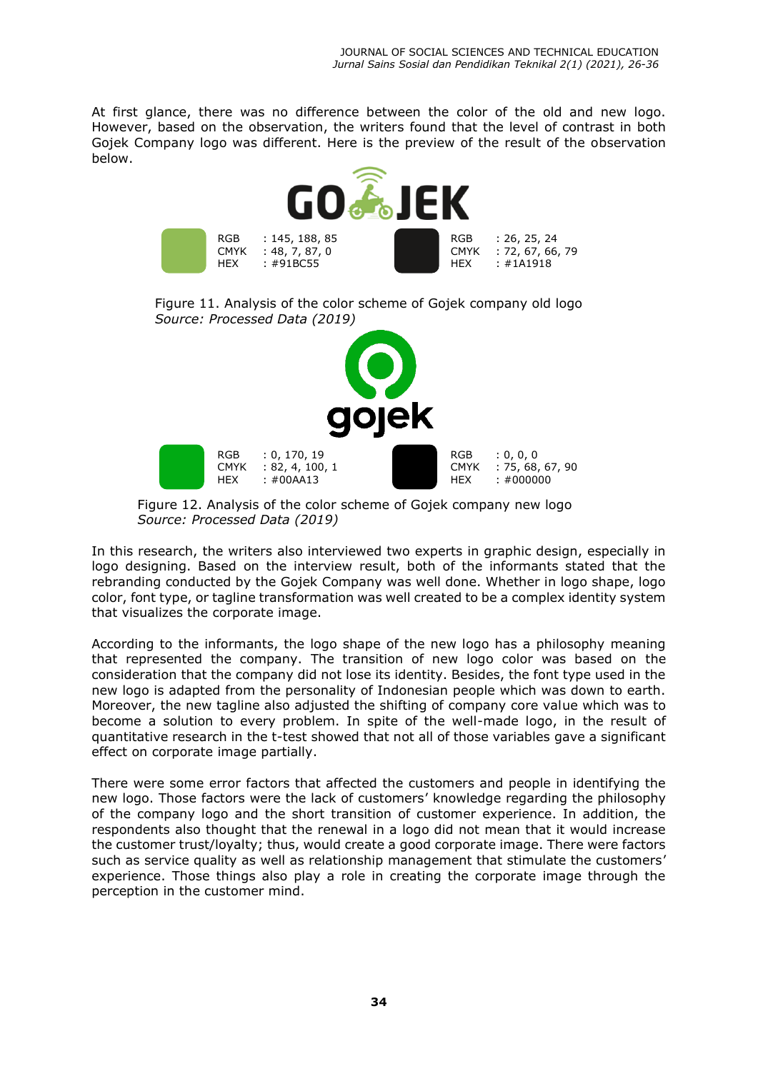At first glance, there was no difference between the color of the old and new logo. However, based on the observation, the writers found that the level of contrast in both Gojek Company logo was different. Here is the preview of the result of the observation below.



Figure 11. Analysis of the color scheme of Gojek company old logo *Source: Processed Data (2019)* 



Figure 12. Analysis of the color scheme of Gojek company new logo *Source: Processed Data (2019)*

In this research, the writers also interviewed two experts in graphic design, especially in logo designing. Based on the interview result, both of the informants stated that the rebranding conducted by the Gojek Company was well done. Whether in logo shape, logo color, font type, or tagline transformation was well created to be a complex identity system that visualizes the corporate image.

According to the informants, the logo shape of the new logo has a philosophy meaning that represented the company. The transition of new logo color was based on the consideration that the company did not lose its identity. Besides, the font type used in the new logo is adapted from the personality of Indonesian people which was down to earth. Moreover, the new tagline also adjusted the shifting of company core value which was to become a solution to every problem. In spite of the well-made logo, in the result of quantitative research in the t-test showed that not all of those variables gave a significant effect on corporate image partially.

There were some error factors that affected the customers and people in identifying the new logo. Those factors were the lack of customers' knowledge regarding the philosophy of the company logo and the short transition of customer experience. In addition, the respondents also thought that the renewal in a logo did not mean that it would increase the customer trust/loyalty; thus, would create a good corporate image. There were factors such as service quality as well as relationship management that stimulate the customers' experience. Those things also play a role in creating the corporate image through the perception in the customer mind.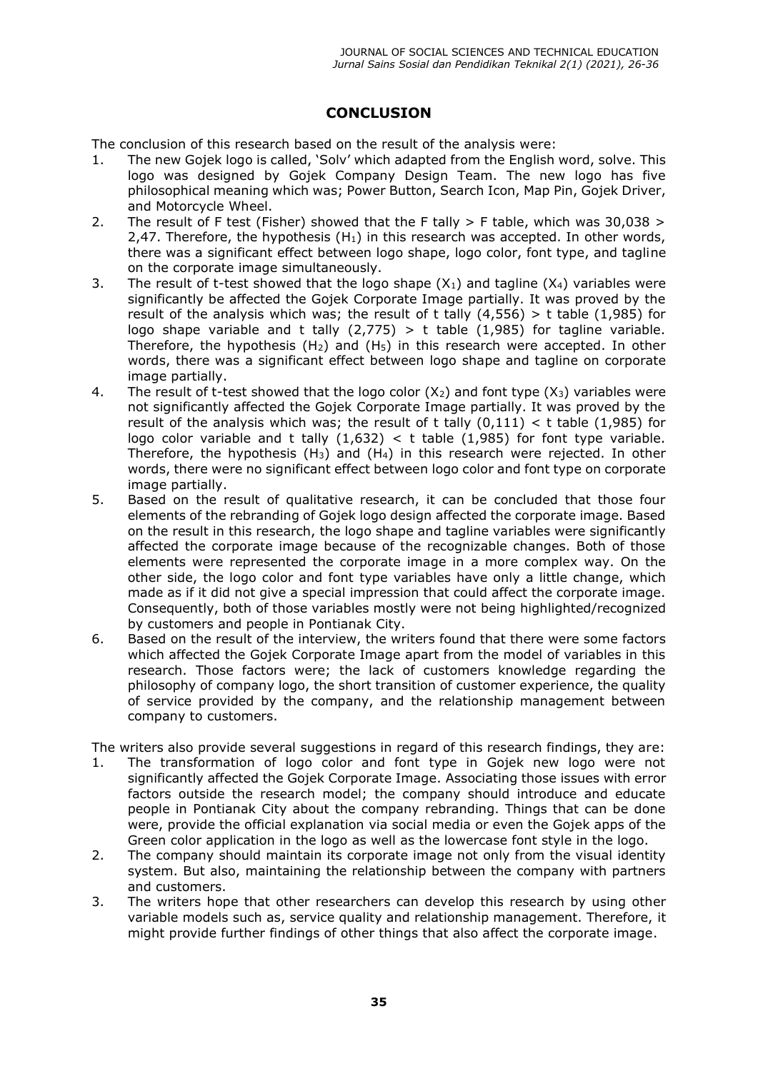# **CONCLUSION**

The conclusion of this research based on the result of the analysis were:

- 1. The new Gojek logo is called, 'Solv' which adapted from the English word, solve. This logo was designed by Gojek Company Design Team. The new logo has five philosophical meaning which was; Power Button, Search Icon, Map Pin, Gojek Driver, and Motorcycle Wheel.
- 2. The result of F test (Fisher) showed that the F tally  $>$  F table, which was 30,038  $>$ 2,47. Therefore, the hypothesis  $(H_1)$  in this research was accepted. In other words, there was a significant effect between logo shape, logo color, font type, and tagline on the corporate image simultaneously.
- 3. The result of t-test showed that the logo shape  $(X_1)$  and tagline  $(X_4)$  variables were significantly be affected the Gojek Corporate Image partially. It was proved by the result of the analysis which was; the result of t tally  $(4,556) > t$  table  $(1,985)$  for logo shape variable and t tally  $(2,775)$  > t table  $(1,985)$  for tagline variable. Therefore, the hypothesis  $(H<sub>2</sub>)$  and  $(H<sub>5</sub>)$  in this research were accepted. In other words, there was a significant effect between logo shape and tagline on corporate image partially.
- 4. The result of t-test showed that the logo color  $(X_2)$  and font type  $(X_3)$  variables were not significantly affected the Gojek Corporate Image partially. It was proved by the result of the analysis which was; the result of t tally  $(0,111) < t$  table  $(1,985)$  for logo color variable and t tally  $(1,632)$  < t table  $(1,985)$  for font type variable. Therefore, the hypothesis  $(H_3)$  and  $(H_4)$  in this research were rejected. In other words, there were no significant effect between logo color and font type on corporate image partially.
- 5. Based on the result of qualitative research, it can be concluded that those four elements of the rebranding of Gojek logo design affected the corporate image. Based on the result in this research, the logo shape and tagline variables were significantly affected the corporate image because of the recognizable changes. Both of those elements were represented the corporate image in a more complex way. On the other side, the logo color and font type variables have only a little change, which made as if it did not give a special impression that could affect the corporate image. Consequently, both of those variables mostly were not being highlighted/recognized by customers and people in Pontianak City.
- 6. Based on the result of the interview, the writers found that there were some factors which affected the Gojek Corporate Image apart from the model of variables in this research. Those factors were; the lack of customers knowledge regarding the philosophy of company logo, the short transition of customer experience, the quality of service provided by the company, and the relationship management between company to customers.

The writers also provide several suggestions in regard of this research findings, they are:

- 1. The transformation of logo color and font type in Gojek new logo were not significantly affected the Gojek Corporate Image. Associating those issues with error factors outside the research model; the company should introduce and educate people in Pontianak City about the company rebranding. Things that can be done were, provide the official explanation via social media or even the Gojek apps of the Green color application in the logo as well as the lowercase font style in the logo.
- 2. The company should maintain its corporate image not only from the visual identity system. But also, maintaining the relationship between the company with partners and customers.
- 3. The writers hope that other researchers can develop this research by using other variable models such as, service quality and relationship management. Therefore, it might provide further findings of other things that also affect the corporate image.